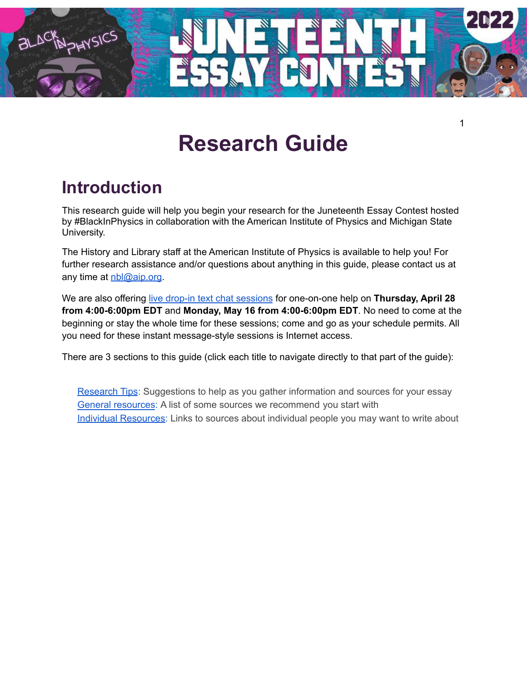

# **Research Guide**

## **Introduction**

This research guide will help you begin your research for the Juneteenth Essay Contest hosted by #BlackInPhysics in collaboration with the American Institute of Physics and Michigan State University.

The History and Library staff at the American Institute of Physics is available to help you! For further research assistance and/or questions about anything in this guide, please contact us at any time at <u>[nbl@aip.org](mailto:nbl@aip.org)</u>.

We are also offering live drop-in text chat [sessions](https://aip.libanswers.com/chat/widget/ece02314cc9e5fc49b16d1edb120643d) for one-on-one help on **Thursday, April 28 from 4:00-6:00pm EDT** and **Monday, May 16 from 4:00-6:00pm EDT**. No need to come at the beginning or stay the whole time for these sessions; come and go as your schedule permits. All you need for these instant message-style sessions is Internet access.

There are 3 sections to this guide (click each title to navigate directly to that part of the guide):

[Research](#page-1-0) Tips: Suggestions to help as you gather information and sources for your essay General [resources](#page-3-0): A list of some sources we recommend you start with Individual [Resources](#page-3-1): Links to sources about individual people you may want to write about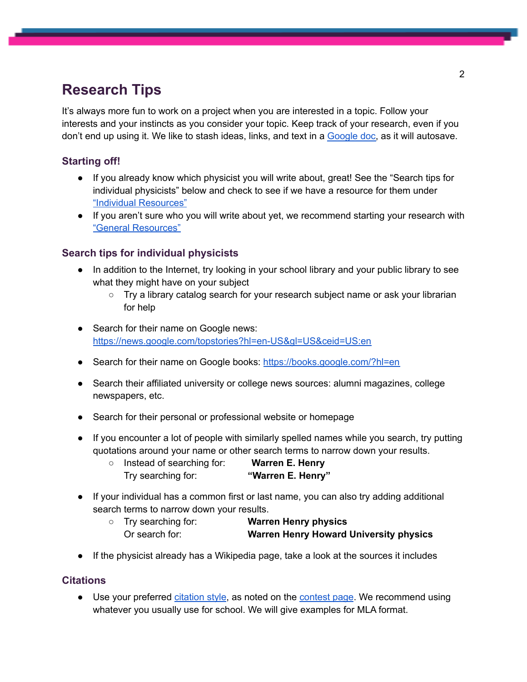## <span id="page-1-0"></span>**Research Tips**

It's always more fun to work on a project when you are interested in a topic. Follow your interests and your instincts as you consider your topic. Keep track of your research, even if you don't end up using it. We like to stash ideas, links, and text in a [Google](https://docs.google.com/document/u/0/?tgif=d) doc, as it will autosave.

#### **Starting off!**

- If you already know which physicist you will write about, great! See the "Search tips for individual physicists" below and check to see if we have a resource for them under "Individual [Resources"](#page-3-1)
- If you aren't sure who you will write about yet, we recommend starting your research with "General [Resources"](#page-3-0)

#### **Search tips for individual physicists**

- In addition to the Internet, try looking in your school library and your public library to see what they might have on your subject
	- Try a library catalog search for your research subject name or ask your librarian for help
- Search for their name on Google news: <https://news.google.com/topstories?hl=en-US&gl=US&ceid=US:en>
- Search for their name on Google books: <https://books.google.com/?hl=en>
- Search their affiliated university or college news sources: alumni magazines, college newspapers, etc.
- Search for their personal or professional website or homepage
- If you encounter a lot of people with similarly spelled names while you search, try putting quotations around your name or other search terms to narrow down your results.
	- Instead of searching for: **Warren E. Henry** Try searching for: **"Warren E. Henry"**
- If your individual has a common first or last name, you can also try adding additional search terms to narrow down your results.
	- Try searching for: **Warren Henry physics** Or search for: **Warren Henry Howard University physics**
- If the physicist already has a Wikipedia page, take a look at the sources it includes

#### **Citations**

● Use your preferred [citation](https://libguides.brescia.edu/c.php?g=45340&p=810541) style, as noted on the [contest](https://www.blackinphysics.org/juneteenth-essay-contest/#learnmore) page. We recommend using whatever you usually use for school. We will give examples for MLA format.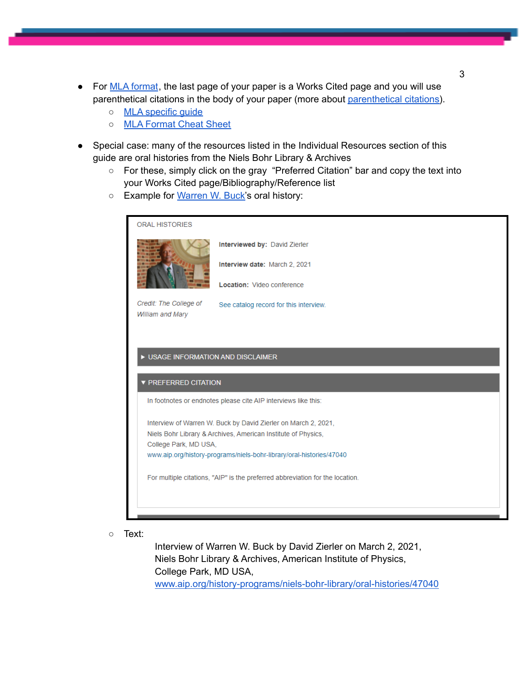- For MLA [format](https://www.dvusd.org/Page/24618), the last page of your paper is a Works Cited page and you will use [parenthetical](https://uscmed.sc.libguides.com/c.php?g=484371&p=3313015) citations in the body of your paper (more about parenthetical citations).
	- o MLA [specific](https://www.cdaschools.org/cms/lib07/ID01906304/Centricity/Domain/654/Middle%20School%20MLA.pdf) quide
	- MLA [Format](https://www.fsus.school/site/handlers/filedownload.ashx?moduleinstanceid=8001&dataid=3736&FileName=MLA-Cover-Sheet-Template.doc) Cheat Sheet
- Special case: many of the resources listed in the Individual Resources section of this guide are oral histories from the Niels Bohr Library & Archives
	- For these, simply click on the gray "Preferred Citation" bar and copy the text into your Works Cited page/Bibliography/Reference list
	- Example for [Warren](https://www.aip.org/history-programs/niels-bohr-library/oral-histories/47040) W. Buck's oral history:



○ Text:

Interview of Warren W. Buck by David Zierler on March 2, 2021, Niels Bohr Library & Archives, American Institute of Physics, College Park, MD USA, [www.aip.org/history-programs/niels-bohr-library/oral-histories/47040](http://www.aip.org/history-programs/niels-bohr-library/oral-histories/47040) 3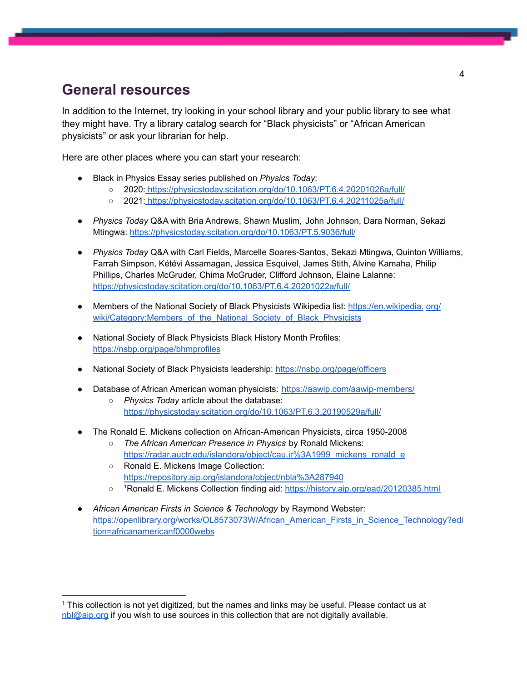### <span id="page-3-0"></span>**General resources**

In addition to the Internet, try looking in your school library and your public library to see what they might have. Try a library catalog search for "Black physicists" or "African American physicists" or ask your librarian for help.

Here are other places where you can start your research:

- Black in Physics Essay series published on *Physics Today*:
	- 2020: <https://physicstoday.scitation.org/do/10.1063/PT.6.4.20201026a/full/>
	- 2021: <https://physicstoday.scitation.org/do/10.1063/PT.6.4.20211025a/full/>
- *Physics Today* Q&A with Bria Andrews, Shawn Muslim, John Johnson, Dara Norman, Sekazi Mtingwa: <https://physicstoday.scitation.org/do/10.1063/PT.5.9036/full/>
- *Physics Today* Q&A with Carl Fields, Marcelle Soares-Santos, Sekazi Mtingwa, Quinton Williams, Farrah Simpson, Kétévi Assamagan, Jessica Esquivel, James Stith, Alvine Kamaha, Philip Phillips, Charles McGruder, Chima McGruder, Clifford Johnson, Elaine Lalanne: <https://physicstoday.scitation.org/do/10.1063/PT.6.4.20201022a/full/>
- Members of the National Society of Black Physicists Wikipedia list: [https://en.wikipedia.](https://en.wikipedia.org/wiki/Category:Members_of_the_National_Society_of_Black_Physicists) org/ [wiki/Category:Members\\_of\\_the\\_National\\_Society\\_of\\_Black\\_Physicists](https://en.wikipedia.org/wiki/Category:Members_of_the_National_Society_of_Black_Physicists)
- National Society of Black Physicists Black History Month Profiles: <https://nsbp.org/page/bhmprofiles>
- National Society of Black Physicists leadership: <https://nsbp.org/page/officers>
- Database of African American woman physicists: <https://aawip.com/aawip-members/>
	- *Physics Today* article about the database: <https://physicstoday.scitation.org/do/10.1063/PT.6.3.20190529a/full/>
- The Ronald E. Mickens collection on African-American Physicists, circa 1950-2008
	- *The African American Presence in Physics* by Ronald Mickens: [https://radar.auctr.edu/islandora/object/cau.ir%3A1999\\_mickens\\_ronald\\_e](https://radar.auctr.edu/islandora/object/cau.ir%3A1999_mickens_ronald_e)
	- Ronald E. Mickens Image Collection: <https://repository.aip.org/islandora/object/nbla%3A287940>
	- o <sup>1</sup>Ronald E. Mickens Collection finding aid: <https://history.aip.org/ead/20120385.html>
- <span id="page-3-1"></span>● *African American Firsts in Science & Technology* by Raymond Webster: [https://openlibrary.org/works/OL8573073W/African\\_American\\_Firsts\\_in\\_Science\\_Technology?edi](https://openlibrary.org/works/OL8573073W/African_American_Firsts_in_Science_Technology?edition=africanamericanf0000webs) [tion=africanamericanf0000webs](https://openlibrary.org/works/OL8573073W/African_American_Firsts_in_Science_Technology?edition=africanamericanf0000webs)

<sup>1</sup> This collection is not yet digitized, but the names and links may be useful. Please contact us at [nbl@aip.org](mailto:nbl@aip.org) if you wish to use sources in this collection that are not digitally available.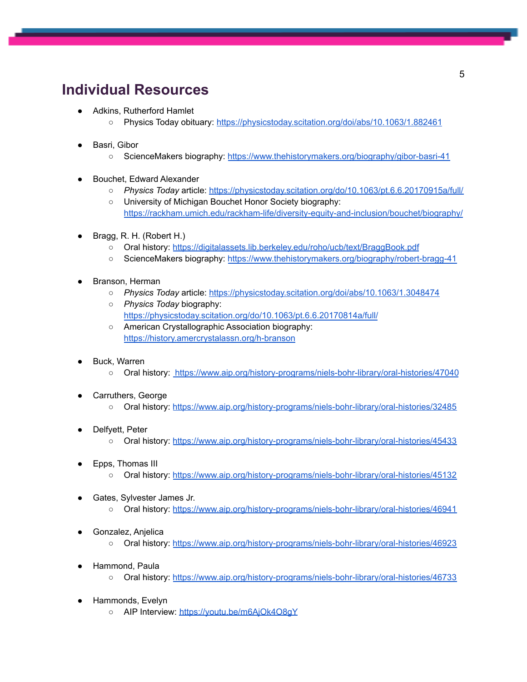## **Individual Resources**

- Adkins, Rutherford Hamlet
	- Physics Today obituary: <https://physicstoday.scitation.org/doi/abs/10.1063/1.882461>
- Basri, Gibor
	- ScienceMakers biography: <https://www.thehistorymakers.org/biography/gibor-basri-41>
- Bouchet, Edward Alexander
	- *Physics Today* article: <https://physicstoday.scitation.org/do/10.1063/pt.6.6.20170915a/full/>
	- University of Michigan Bouchet Honor Society biography: <https://rackham.umich.edu/rackham-life/diversity-equity-and-inclusion/bouchet/biography/>
- Bragg, R. H. (Robert H.)
	- Oral history: <https://digitalassets.lib.berkeley.edu/roho/ucb/text/BraggBook.pdf>
	- ScienceMakers biography: <https://www.thehistorymakers.org/biography/robert-bragg-41>
- Branson, Herman
	- *Physics Today* article: <https://physicstoday.scitation.org/doi/abs/10.1063/1.3048474>
	- *Physics Today* biography: <https://physicstoday.scitation.org/do/10.1063/pt.6.6.20170814a/full/>
	- American Crystallographic Association biography: <https://history.amercrystalassn.org/h-branson>
- Buck, Warren
	- Oral history: <https://www.aip.org/history-programs/niels-bohr-library/oral-histories/47040>
- Carruthers, George
	- Oral history: <https://www.aip.org/history-programs/niels-bohr-library/oral-histories/32485>
- Delfyett, Peter
	- Oral history: <https://www.aip.org/history-programs/niels-bohr-library/oral-histories/45433>
- Epps, Thomas III
	- Oral history: <https://www.aip.org/history-programs/niels-bohr-library/oral-histories/45132>
- Gates, Sylvester James Jr.
	- Oral history: <https://www.aip.org/history-programs/niels-bohr-library/oral-histories/46941>
- Gonzalez, Anjelica
	- Oral history: <https://www.aip.org/history-programs/niels-bohr-library/oral-histories/46923>
- Hammond, Paul[a](https://www.aip.org/history-programs/niels-bohr-library/oral-histories/46733)
	- Oral history: <https://www.aip.org/history-programs/niels-bohr-library/oral-histories/46733>
- Hammonds, Evelyn
	- AIP Interview: https://youtu.be/m6AiOk4O8qY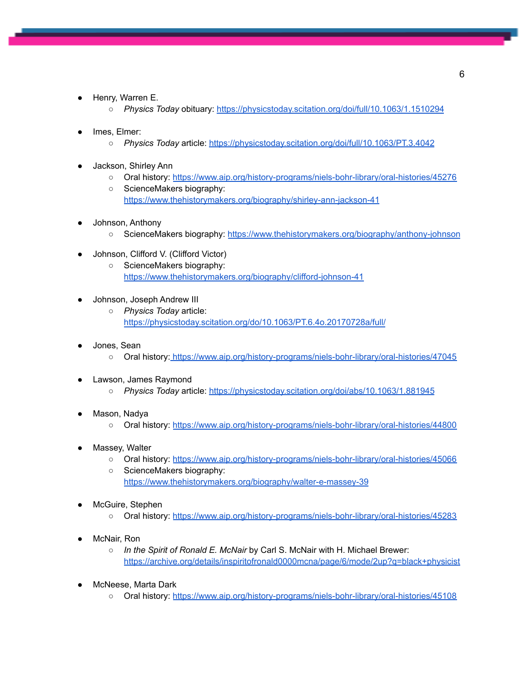- Henry, Warren E.
	- *Physics Today* obituary: <https://physicstoday.scitation.org/doi/full/10.1063/1.1510294>
- lmes, Elmer:
	- *Physics Today* article: <https://physicstoday.scitation.org/doi/full/10.1063/PT.3.4042>
- Jackson, Shirley Ann
	- Oral history: <https://www.aip.org/history-programs/niels-bohr-library/oral-histories/45276>
	- ScienceMakers biography: <https://www.thehistorymakers.org/biography/shirley-ann-jackson-41>
- Johnson, Anthony
	- ScienceMakers biography: <https://www.thehistorymakers.org/biography/anthony-johnson>
- Johnson, Clifford V. (Clifford Victor)
	- ScienceMakers biography: <https://www.thehistorymakers.org/biography/clifford-johnson-41>
- Johnson, Joseph Andrew III
	- *Physics Today* article: <https://physicstoday.scitation.org/do/10.1063/PT.6.4o.20170728a/full/>
- Jones, Sean
	- Oral history: <https://www.aip.org/history-programs/niels-bohr-library/oral-histories/47045>
- Lawson, James Raymond
	- *Physics Today* article: <https://physicstoday.scitation.org/doi/abs/10.1063/1.881945>
- Mason, Nadya
	- Oral history: <https://www.aip.org/history-programs/niels-bohr-library/oral-histories/44800>
- Massey, Walter
	- Oral history: <https://www.aip.org/history-programs/niels-bohr-library/oral-histories/45066>
	- ScienceMakers biography: <https://www.thehistorymakers.org/biography/walter-e-massey-39>
- McGuire, Stephen
	- Oral history: <https://www.aip.org/history-programs/niels-bohr-library/oral-histories/45283>
- McNair, Ron
	- *In the Spirit of Ronald E. McNair* by Carl S. McNair with H. Michael Brewer: <https://archive.org/details/inspiritofronald0000mcna/page/6/mode/2up?q=black+physicist>
- McNeese, Marta Dark
	- Oral history: <https://www.aip.org/history-programs/niels-bohr-library/oral-histories/45108>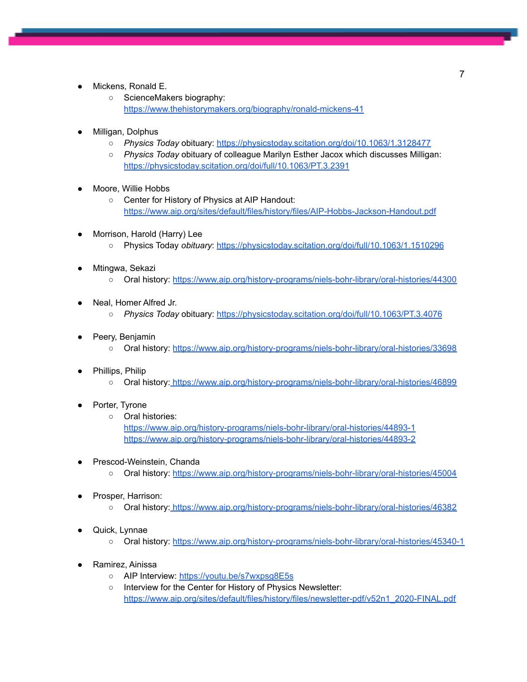- Mickens, Ronald E.
	- ScienceMakers biography: <https://www.thehistorymakers.org/biography/ronald-mickens-41>
- Milligan, Dolphus
	- *Physics Today* obituary: <https://physicstoday.scitation.org/doi/10.1063/1.3128477>
	- *Physics Today* obituary of colleague Marilyn Esther Jacox which discusses Milligan: <https://physicstoday.scitation.org/doi/full/10.1063/PT.3.2391>
- Moore, Willie Hobbs
	- Center for History of Physics at AIP Handout: <https://www.aip.org/sites/default/files/history/files/AIP-Hobbs-Jackson-Handout.pdf>
- Morrison, Harold (Harry) Lee
	- Physics Today *obituary*: <https://physicstoday.scitation.org/doi/full/10.1063/1.1510296>
- Mtingwa, Sekazi
	- Oral history: <https://www.aip.org/history-programs/niels-bohr-library/oral-histories/44300>
- Neal, Homer Alfred Jr.
	- *Physics Today* obituary: <https://physicstoday.scitation.org/doi/full/10.1063/PT.3.4076>
- Peery, Benjamin
	- Oral history: <https://www.aip.org/history-programs/niels-bohr-library/oral-histories/33698>
- Phillips, Philip
	- Oral history: <https://www.aip.org/history-programs/niels-bohr-library/oral-histories/46899>
- Porter, Tyrone
	- Oral histories: <https://www.aip.org/history-programs/niels-bohr-library/oral-histories/44893-1> <https://www.aip.org/history-programs/niels-bohr-library/oral-histories/44893-2>
- Prescod-Weinstein, Chanda
	- Oral history: <https://www.aip.org/history-programs/niels-bohr-library/oral-histories/45004>
- Prosper, Harrison:
	- Oral history: <https://www.aip.org/history-programs/niels-bohr-library/oral-histories/46382>
- Quick, Lynnae
	- Oral history: <https://www.aip.org/history-programs/niels-bohr-library/oral-histories/45340-1>
- Ramirez, Ainissa
	- AIP Interview: https://youtu.be/s7wxpsq8E5s
	- Interview for the Center for History of Physics Newsletter: [https://www.aip.org/sites/default/files/history/files/newsletter-pdf/v52n1\\_2020-FINAL.pdf](https://www.aip.org/sites/default/files/history/files/newsletter-pdf/v52n1_2020-FINAL.pdf)